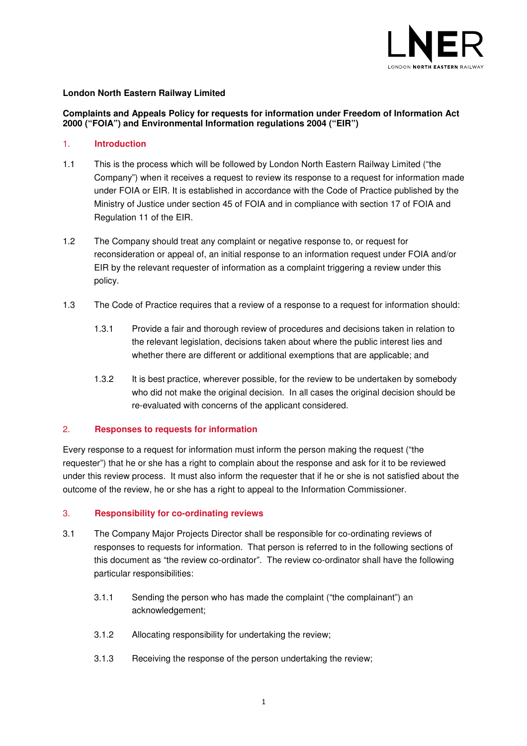

# **London North Eastern Railway Limited**

# **Complaints and Appeals Policy for requests for information under Freedom of Information Act 2000 ("FOIA") and Environmental Information regulations 2004 ("EIR")**

### 1. **Introduction**

- 1.1 This is the process which will be followed by London North Eastern Railway Limited ("the Company") when it receives a request to review its response to a request for information made under FOIA or EIR. It is established in accordance with the Code of Practice published by the Ministry of Justice under section 45 of FOIA and in compliance with section 17 of FOIA and Regulation 11 of the EIR.
- 1.2 The Company should treat any complaint or negative response to, or request for reconsideration or appeal of, an initial response to an information request under FOIA and/or EIR by the relevant requester of information as a complaint triggering a review under this policy.
- 1.3 The Code of Practice requires that a review of a response to a request for information should:
	- 1.3.1 Provide a fair and thorough review of procedures and decisions taken in relation to the relevant legislation, decisions taken about where the public interest lies and whether there are different or additional exemptions that are applicable; and
	- 1.3.2 It is best practice, wherever possible, for the review to be undertaken by somebody who did not make the original decision. In all cases the original decision should be re-evaluated with concerns of the applicant considered.

# 2. **Responses to requests for information**

Every response to a request for information must inform the person making the request ("the requester") that he or she has a right to complain about the response and ask for it to be reviewed under this review process. It must also inform the requester that if he or she is not satisfied about the outcome of the review, he or she has a right to appeal to the Information Commissioner.

# 3. **Responsibility for co-ordinating reviews**

- 3.1 The Company Major Projects Director shall be responsible for co-ordinating reviews of responses to requests for information. That person is referred to in the following sections of this document as "the review co-ordinator". The review co-ordinator shall have the following particular responsibilities:
	- 3.1.1 Sending the person who has made the complaint ("the complainant") an acknowledgement;
	- 3.1.2 Allocating responsibility for undertaking the review;
	- 3.1.3 Receiving the response of the person undertaking the review;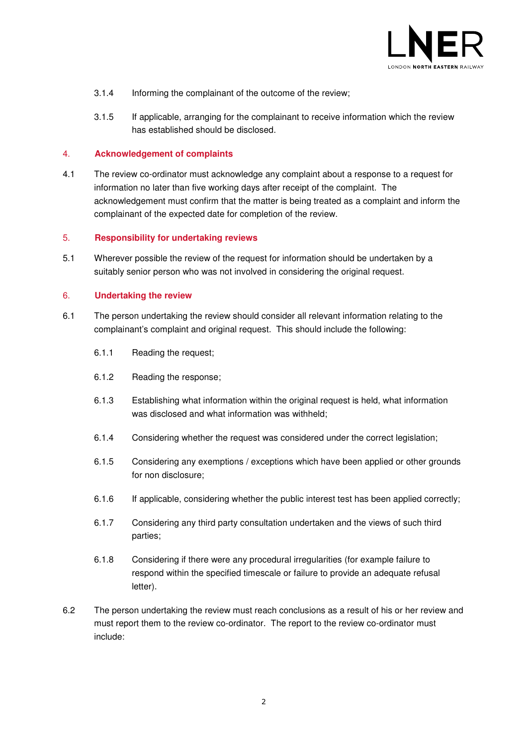

- 3.1.4 Informing the complainant of the outcome of the review;
- 3.1.5 If applicable, arranging for the complainant to receive information which the review has established should be disclosed.

### 4. **Acknowledgement of complaints**

4.1 The review co-ordinator must acknowledge any complaint about a response to a request for information no later than five working days after receipt of the complaint. The acknowledgement must confirm that the matter is being treated as a complaint and inform the complainant of the expected date for completion of the review.

#### 5. **Responsibility for undertaking reviews**

5.1 Wherever possible the review of the request for information should be undertaken by a suitably senior person who was not involved in considering the original request.

### 6. **Undertaking the review**

- 6.1 The person undertaking the review should consider all relevant information relating to the complainant's complaint and original request. This should include the following:
	- 6.1.1 Reading the request;
	- 6.1.2 Reading the response;
	- 6.1.3 Establishing what information within the original request is held, what information was disclosed and what information was withheld;
	- 6.1.4 Considering whether the request was considered under the correct legislation;
	- 6.1.5 Considering any exemptions / exceptions which have been applied or other grounds for non disclosure;
	- 6.1.6 If applicable, considering whether the public interest test has been applied correctly;
	- 6.1.7 Considering any third party consultation undertaken and the views of such third parties;
	- 6.1.8 Considering if there were any procedural irregularities (for example failure to respond within the specified timescale or failure to provide an adequate refusal letter).
- 6.2 The person undertaking the review must reach conclusions as a result of his or her review and must report them to the review co-ordinator. The report to the review co-ordinator must include: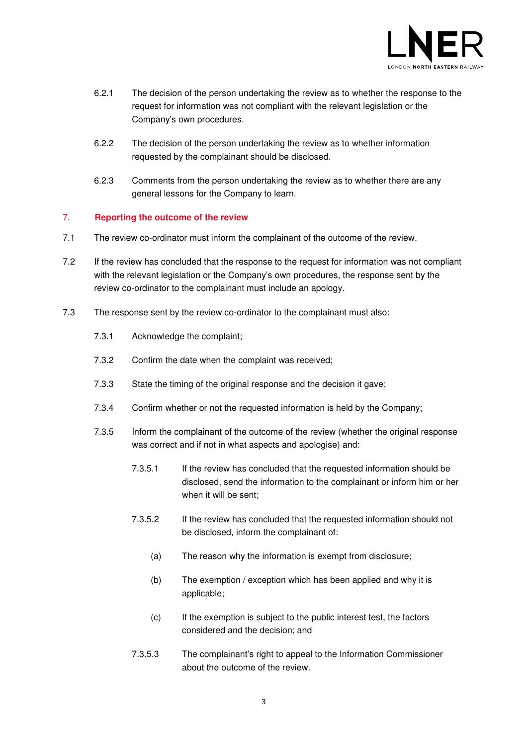

- 6.2.1 The decision of the person undertaking the review as to whether the response to the request for information was not compliant with the relevant legislation or the Company's own procedures.
- 6.2.2 The decision of the person undertaking the review as to whether information requested by the complainant should be disclosed.
- 6.2.3 Comments from the person undertaking the review as to whether there are any general lessons for the Company to learn.

# 7. **Reporting the outcome of the review**

- 7.1 The review co-ordinator must inform the complainant of the outcome of the review.
- 7.2 If the review has concluded that the response to the request for information was not compliant with the relevant legislation or the Company's own procedures, the response sent by the review co-ordinator to the complainant must include an apology.
- 7.3 The response sent by the review co-ordinator to the complainant must also:
	- 7.3.1 Acknowledge the complaint;
	- 7.3.2 Confirm the date when the complaint was received;
	- 7.3.3 State the timing of the original response and the decision it gave;
	- 7.3.4 Confirm whether or not the requested information is held by the Company;
	- 7.3.5 Inform the complainant of the outcome of the review (whether the original response was correct and if not in what aspects and apologise) and:
		- 7.3.5.1 If the review has concluded that the requested information should be disclosed, send the information to the complainant or inform him or her when it will be sent;
		- 7.3.5.2 If the review has concluded that the requested information should not be disclosed, inform the complainant of:
			- (a) The reason why the information is exempt from disclosure;
			- (b) The exemption / exception which has been applied and why it is applicable;
			- (c) If the exemption is subject to the public interest test, the factors considered and the decision; and
		- 7.3.5.3 The complainant's right to appeal to the Information Commissioner about the outcome of the review.